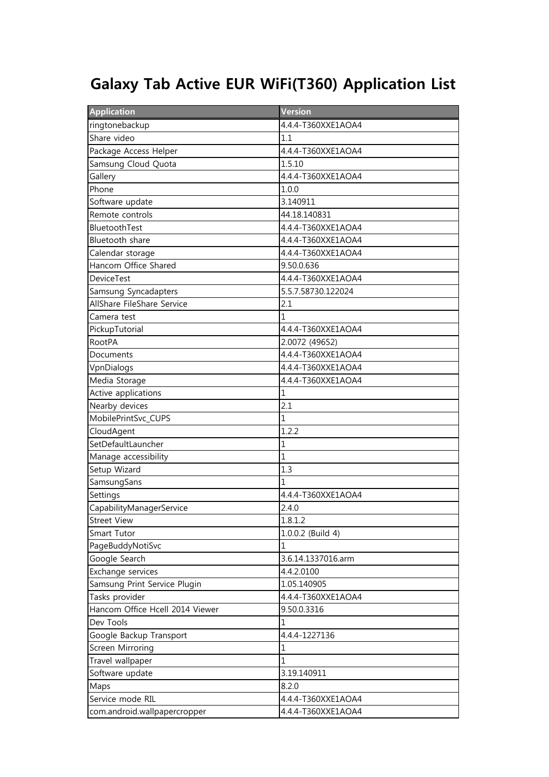## Galaxy Tab Active EUR WiFi(T360) Application List

| <b>Application</b>              | Version            |
|---------------------------------|--------------------|
| ringtonebackup                  | 4.4.4-T360XXE1AOA4 |
| Share video                     | 1.1                |
| Package Access Helper           | 4.4.4-T360XXE1AOA4 |
| Samsung Cloud Quota             | 1.5.10             |
| Gallery                         | 4.4.4-T360XXE1AOA4 |
| Phone                           | 1.0.0              |
| Software update                 | 3.140911           |
| Remote controls                 | 44.18.140831       |
| BluetoothTest                   | 4.4.4-T360XXE1AOA4 |
| Bluetooth share                 | 4.4.4-T360XXE1AOA4 |
| Calendar storage                | 4.4.4-T360XXE1AOA4 |
| Hancom Office Shared            | 9.50.0.636         |
| <b>DeviceTest</b>               | 4.4.4-T360XXE1AOA4 |
| Samsung Syncadapters            | 5.5.7.58730.122024 |
| AllShare FileShare Service      | 2.1                |
| Camera test                     | $\mathbf{1}$       |
| PickupTutorial                  | 4.4.4-T360XXE1AOA4 |
| <b>RootPA</b>                   | 2.0072 (49652)     |
| Documents                       | 4.4.4-T360XXE1AOA4 |
| VpnDialogs                      | 4.4.4-T360XXE1AOA4 |
| Media Storage                   | 4.4.4-T360XXE1AOA4 |
| Active applications             | 1                  |
| Nearby devices                  | 2.1                |
| MobilePrintSvc_CUPS             | $\mathbf{1}$       |
| CloudAgent                      | 1.2.2              |
| SetDefaultLauncher              | $\mathbf{1}$       |
| Manage accessibility            | $\mathbf{1}$       |
| Setup Wizard                    | 1.3                |
| SamsungSans                     | 1                  |
| Settings                        | 4.4.4-T360XXE1AOA4 |
| CapabilityManagerService        | 2.4.0              |
| <b>Street View</b>              | 1.8.1.2            |
| Smart Tutor                     | 1.0.0.2 (Build 4)  |
| PageBuddyNotiSvc                | $\mathbf{1}$       |
| Google Search                   | 3.6.14.1337016.arm |
| Exchange services               | 4.4.2.0100         |
| Samsung Print Service Plugin    | 1.05.140905        |
| Tasks provider                  | 4.4.4-T360XXE1AOA4 |
| Hancom Office Hcell 2014 Viewer | 9.50.0.3316        |
| Dev Tools                       | 1                  |
| Google Backup Transport         | 4.4.4-1227136      |
| Screen Mirroring                | 1                  |
| Travel wallpaper                | $\mathbf{1}$       |
| Software update                 | 3.19.140911        |
| Maps                            | 8.2.0              |
| Service mode RIL                | 4.4.4-T360XXE1AOA4 |
| com.android.wallpapercropper    | 4.4.4-T360XXE1AOA4 |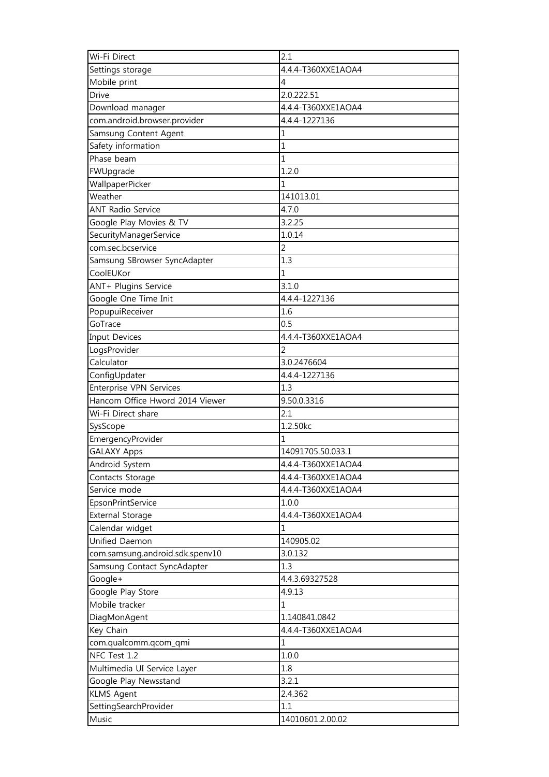| Wi-Fi Direct                    | 2.1                |
|---------------------------------|--------------------|
| Settings storage                | 4.4.4-T360XXE1AOA4 |
| Mobile print                    | 4                  |
| Drive                           | 2.0.222.51         |
| Download manager                | 4.4.4-T360XXE1AOA4 |
| com.android.browser.provider    | 4.4.4-1227136      |
| Samsung Content Agent           | 1                  |
| Safety information              | 1                  |
| Phase beam                      | 1                  |
| FWUpgrade                       | 1.2.0              |
| WallpaperPicker                 | 1                  |
| Weather                         | 141013.01          |
| <b>ANT Radio Service</b>        | 4.7.0              |
| Google Play Movies & TV         | 3.2.25             |
| SecurityManagerService          | 1.0.14             |
| com.sec.bcservice               | 2                  |
| Samsung SBrowser SyncAdapter    | 1.3                |
| CoolEUKor                       | 1                  |
| ANT+ Plugins Service            | 3.1.0              |
| Google One Time Init            | 4.4.4-1227136      |
| PopupuiReceiver                 | 1.6                |
| GoTrace                         | 0.5                |
| <b>Input Devices</b>            | 4.4.4-T360XXE1AOA4 |
| LogsProvider                    | 2                  |
| Calculator                      | 3.0.2476604        |
| ConfigUpdater                   | 4.4.4-1227136      |
| Enterprise VPN Services         | 1.3                |
| Hancom Office Hword 2014 Viewer | 9.50.0.3316        |
| Wi-Fi Direct share              | 2.1                |
| SysScope                        | 1.2.50kc           |
| EmergencyProvider               | 1                  |
| <b>GALAXY Apps</b>              | 14091705.50.033.1  |
| Android System                  | 4.4.4-T360XXE1AOA4 |
| Contacts Storage                | 4.4.4-T360XXE1AOA4 |
| Service mode                    | 4.4.4-T360XXE1AOA4 |
| EpsonPrintService               | 1.0.0              |
| External Storage                | 4.4.4-T360XXE1AOA4 |
| Calendar widget                 | 1                  |
| Unified Daemon                  | 140905.02          |
| com.samsung.android.sdk.spenv10 | 3.0.132            |
| Samsung Contact SyncAdapter     | 1.3                |
| Google+                         | 4.4.3.69327528     |
| Google Play Store               | 4.9.13             |
| Mobile tracker                  | 1                  |
| DiagMonAgent                    | 1.140841.0842      |
| Key Chain                       | 4.4.4-T360XXE1AOA4 |
| com.qualcomm.qcom_qmi           | $\mathbf 1$        |
| NFC Test 1.2                    | 1.0.0              |
| Multimedia UI Service Layer     | 1.8                |
| Google Play Newsstand           | 3.2.1              |
| <b>KLMS Agent</b>               | 2.4.362            |
| SettingSearchProvider           | 1.1                |
| Music                           | 14010601.2.00.02   |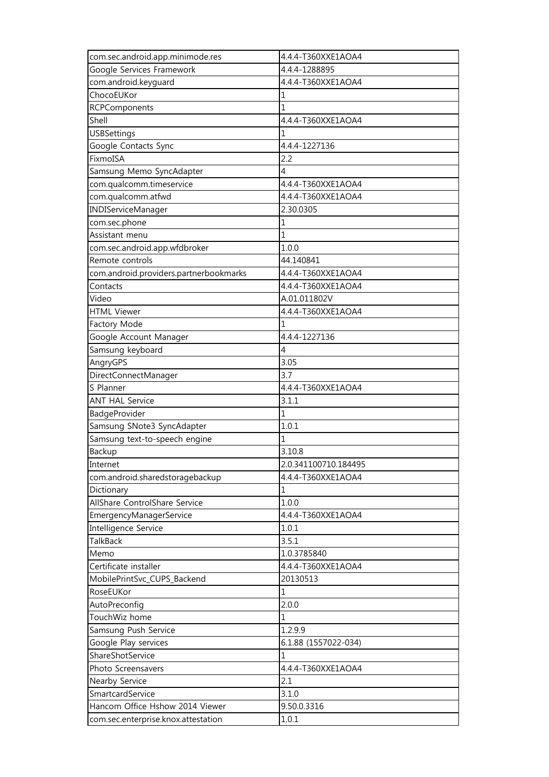| com.sec.android.app.minimode.res       | 4.4.4-T360XXE1AOA4   |
|----------------------------------------|----------------------|
| Google Services Framework              | 4.4.4-1288895        |
| com.android.keyguard                   | 4.4.4-T360XXE1AOA4   |
| ChocoEUKor                             | 1                    |
| <b>RCPComponents</b>                   | 1                    |
| Shell                                  | 4.4.4-T360XXE1AOA4   |
| <b>USBSettings</b>                     | 1                    |
| Google Contacts Sync                   | 4.4.4-1227136        |
| FixmoISA                               | 2.2                  |
| Samsung Memo SyncAdapter               | 4                    |
| com.qualcomm.timeservice               | 4.4.4-T360XXE1AOA4   |
| com.qualcomm.atfwd                     | 4.4.4-T360XXE1AOA4   |
| <b>INDIServiceManager</b>              | 2.30.0305            |
| com.sec.phone                          | 1                    |
| Assistant menu                         | 1                    |
| com.sec.android.app.wfdbroker          | 1.0.0                |
| Remote controls                        | 44.140841            |
| com.android.providers.partnerbookmarks | 4.4.4-T360XXE1AOA4   |
| Contacts                               | 4.4.4-T360XXE1AOA4   |
| Video                                  | A.01.011802V         |
| <b>HTML Viewer</b>                     | 4.4.4-T360XXE1AOA4   |
| Factory Mode                           | 1                    |
| Google Account Manager                 | 4.4.4-1227136        |
| Samsung keyboard                       | 4                    |
| AngryGPS                               | 3.05                 |
| DirectConnectManager                   | 3.7                  |
| S Planner                              | 4.4.4-T360XXE1AOA4   |
| <b>ANT HAL Service</b>                 | 3.1.1                |
| BadgeProvider                          | 1                    |
| Samsung SNote3 SyncAdapter             | 1.0.1                |
| Samsung text-to-speech engine          | 1                    |
| Backup                                 | 3.10.8               |
| Internet                               | 2.0.341100710.184495 |
| com.android.sharedstoragebackup        | 4.4.4-T360XXE1AOA4   |
| Dictionary                             | 1                    |
| AllShare ControlShare Service          | 1.0.0                |
| EmergencyManagerService                | 4.4.4-T360XXE1AOA4   |
| Intelligence Service                   | 1.0.1                |
| <b>TalkBack</b>                        | 3.5.1                |
| Memo                                   | 1.0.3785840          |
| Certificate installer                  | 4.4.4-T360XXE1AOA4   |
| MobilePrintSvc_CUPS_Backend            | 20130513             |
| RoseEUKor                              | 1                    |
| AutoPreconfig                          | 2.0.0                |
| TouchWiz home                          | 1                    |
| Samsung Push Service                   | 1.2.9.9              |
| Google Play services                   | 6.1.88 (1557022-034) |
| ShareShotService                       | 1                    |
| Photo Screensavers                     | 4.4.4-T360XXE1AOA4   |
| Nearby Service                         | 2.1                  |
| SmartcardService                       | 3.1.0                |
| Hancom Office Hshow 2014 Viewer        | 9.50.0.3316          |
| com.sec.enterprise.knox.attestation    | 1.0.1                |
|                                        |                      |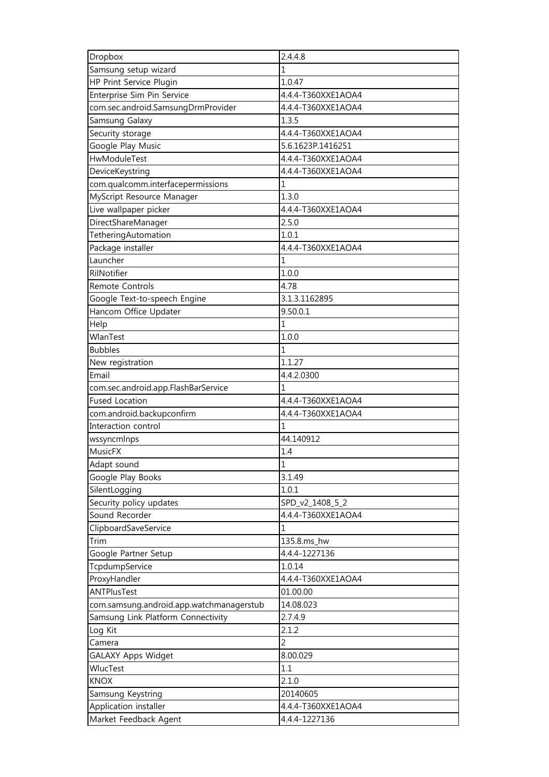| Dropbox                                  | 2.4.4.8            |
|------------------------------------------|--------------------|
| Samsung setup wizard                     | 1                  |
| HP Print Service Plugin                  | 1.0.47             |
| Enterprise Sim Pin Service               | 4.4.4-T360XXE1AOA4 |
| com.sec.android.SamsungDrmProvider       | 4.4.4-T360XXE1AOA4 |
| Samsung Galaxy                           | 1.3.5              |
| Security storage                         | 4.4.4-T360XXE1AOA4 |
| Google Play Music                        | 5.6.1623P.1416251  |
| HwModuleTest                             | 4.4.4-T360XXE1AOA4 |
| DeviceKeystring                          | 4.4.4-T360XXE1AOA4 |
| com.qualcomm.interfacepermissions        | 1                  |
| MyScript Resource Manager                | 1.3.0              |
| Live wallpaper picker                    | 4.4.4-T360XXE1AOA4 |
| DirectShareManager                       | 2.5.0              |
| TetheringAutomation                      | 1.0.1              |
| Package installer                        | 4.4.4-T360XXE1AOA4 |
| Launcher                                 | 1                  |
| RilNotifier                              | 1.0.0              |
| Remote Controls                          | 4.78               |
| Google Text-to-speech Engine             | 3.1.3.1162895      |
| Hancom Office Updater                    | 9.50.0.1           |
| Help                                     | 1                  |
| WlanTest                                 | 1.0.0              |
| <b>Bubbles</b>                           | 1                  |
| New registration                         | 1.1.27             |
| Email                                    | 4.4.2.0300         |
| com.sec.android.app.FlashBarService      | 1                  |
| <b>Fused Location</b>                    | 4.4.4-T360XXE1AOA4 |
| com.android.backupconfirm                | 4.4.4-T360XXE1AOA4 |
| Interaction control                      | $\mathbf{1}$       |
| wssyncmlnps                              | 44.140912          |
| MusicFX                                  | 1.4                |
| Adapt sound                              | $\mathbf 1$        |
| Google Play Books                        | 3.1.49             |
| SilentLogging                            | 1.0.1              |
| Security policy updates                  | SPD_v2_1408_5_2    |
| Sound Recorder                           | 4.4.4-T360XXE1AOA4 |
| ClipboardSaveService                     | 1                  |
| Trim                                     | 135.8.ms_hw        |
| Google Partner Setup                     | 4.4.4-1227136      |
| TcpdumpService                           | 1.0.14             |
| ProxyHandler                             | 4.4.4-T360XXE1AOA4 |
| ANTPlusTest                              | 01.00.00           |
| com.samsung.android.app.watchmanagerstub | 14.08.023          |
| Samsung Link Platform Connectivity       | 2.7.4.9            |
| Log Kit                                  | 2.1.2              |
| Camera                                   | $\overline{2}$     |
|                                          |                    |
| GALAXY Apps Widget<br>WlucTest           | 8.00.029<br>1.1    |
| <b>KNOX</b>                              | 2.1.0              |
|                                          |                    |
| Samsung Keystring                        | 20140605           |
| Application installer                    | 4.4.4-T360XXE1AOA4 |
| Market Feedback Agent                    | 4.4.4-1227136      |